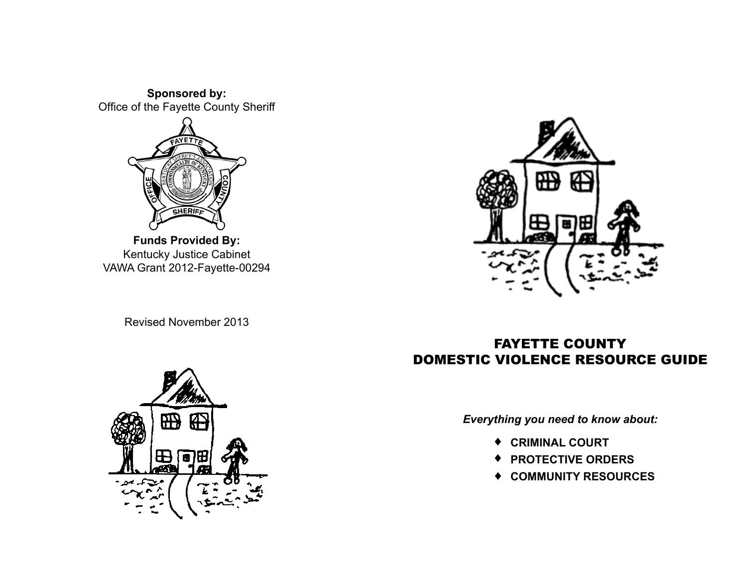**Sponsored by:** Office of the Fayette County Sheriff



**Funds Provided By:** Kentucky Justice Cabinet VAWA Grant 2012-Fayette-00294 毌

# Revised November 2013



# Fayette County Domestic Violence Resource Guide

*Everything you need to know about:*

- ♦ **Criminal Court**
- ♦ **Protective Orders**
- ♦ **Community Resources**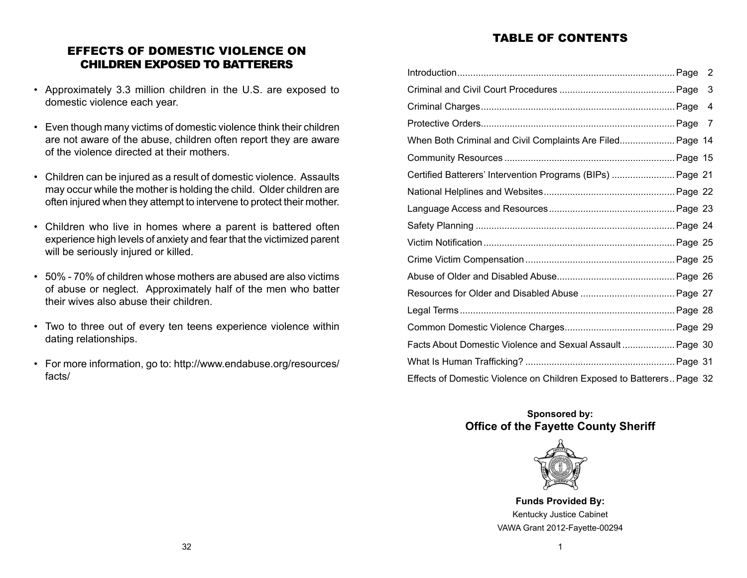# TABLE OF CONTENTS

| EFFECTS OF DOMESTIC VIOLENCE ON      |
|--------------------------------------|
| <b>CHILDREN EXPOSED TO BATTERERS</b> |

- Approximately 3.3 million children in the U.S. are exposed to domestic violence each year.
- Even though many victims of domestic violence think their children are not aware of the abuse, children often report they are aware of the violence directed at their mothers.
- Children can be injured as a result of domestic violence. Assaults may occur while the mother is holding the child. Older children are often injured when they attempt to intervene to protect their mother.
- Children who live in homes where a parent is battered often experience high levels of anxiety and fear that the victimized parent will be seriously injured or killed.
- 50% 70% of children whose mothers are abused are also victims of abuse or neglect. Approximately half of the men who batter their wives also abuse their children.
- Two to three out of every ten teens experience violence within dating relationships.
- For more information, go to: http://www.endabuse.org/resources/ facts/

| 2                                                                     |
|-----------------------------------------------------------------------|
| 3                                                                     |
| 4                                                                     |
|                                                                       |
| When Both Criminal and Civil Complaints Are Filed Page 14             |
|                                                                       |
| Certified Batterers' Intervention Programs (BIPs)  Page 21            |
|                                                                       |
|                                                                       |
|                                                                       |
|                                                                       |
|                                                                       |
|                                                                       |
|                                                                       |
|                                                                       |
|                                                                       |
| Facts About Domestic Violence and Sexual Assault Page 30              |
|                                                                       |
| Effects of Domestic Violence on Children Exposed to Batterers Page 32 |

# **Sponsored by: Office of the Fayette County Sheriff**



**Funds Provided By:** Kentucky Justice Cabinet VAWA Grant 2012-Fayette-00294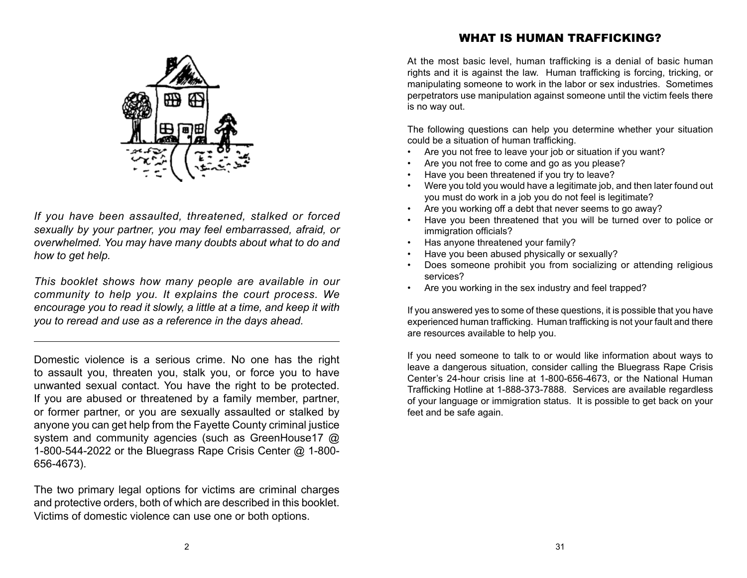*If you have been assaulted, threatened, stalked or forced sexually by your partner, you may feel embarrassed, afraid, or overwhelmed. You may have many doubts about what to do and how to get help.*

*This booklet shows how many people are available in our community to help you. It explains the court process. We encourage you to read it slowly, a little at a time, and keep it with you to reread and use as a reference in the days ahead.*

Domestic violence is a serious crime. No one has the right to assault you, threaten you, stalk you, or force you to have unwanted sexual contact. You have the right to be protected. If you are abused or threatened by a family member, partner, or former partner, or you are sexually assaulted or stalked by anyone you can get help from the Fayette County criminal justice system and community agencies (such as GreenHouse17 @ 1-800-544-2022 or the Bluegrass Rape Crisis Center @ 1-800- 656-4673).

The two primary legal options for victims are criminal charges and protective orders, both of which are described in this booklet. Victims of domestic violence can use one or both options.

# WHAT IS HUMAN TRAFFICKING?

At the most basic level, human trafficking is a denial of basic human rights and it is against the law. Human trafficking is forcing, tricking, or manipulating someone to work in the labor or sex industries. Sometimes perpetrators use manipulation against someone until the victim feels there is no way out.

The following questions can help you determine whether your situation could be a situation of human trafficking.

- Are you not free to leave your job or situation if you want?
- Are you not free to come and go as you please?
- Have you been threatened if you try to leave?
- Were you told you would have a legitimate job, and then later found out you must do work in a job you do not feel is legitimate?
- Are you working off a debt that never seems to go away?
- Have you been threatened that you will be turned over to police or immigration officials?
- Has anyone threatened your family?
- Have you been abused physically or sexually?
- Does someone prohibit you from socializing or attending religious services?
- Are you working in the sex industry and feel trapped?

If you answered yes to some of these questions, it is possible that you have experienced human trafficking. Human trafficking is not your fault and there are resources available to help you.

If you need someone to talk to or would like information about ways to leave a dangerous situation, consider calling the Bluegrass Rape Crisis Center's 24-hour crisis line at 1-800-656-4673, or the National Human Trafficking Hotline at 1-888-373-7888. Services are available regardless of your language or immigration status. It is possible to get back on your feet and be safe again.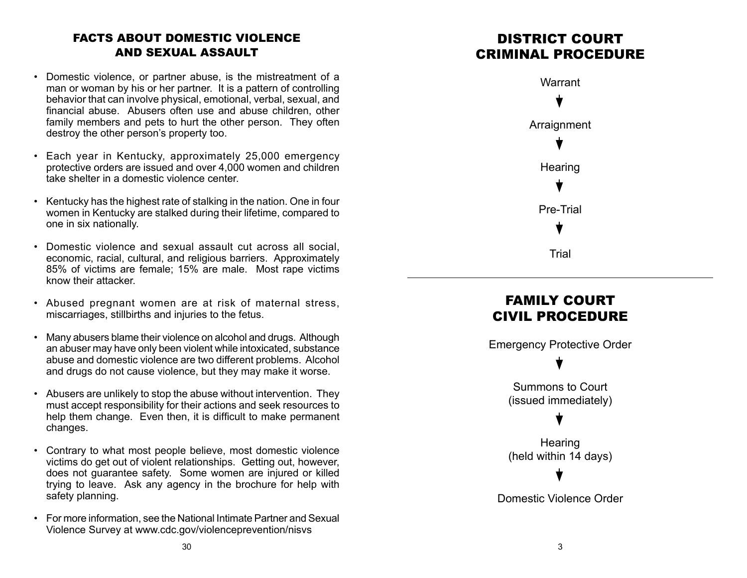# Facts About Domestic Violence AND SEXUAL ASSAULT

- Domestic violence, or partner abuse, is the mistreatment of a man or woman by his or her partner. It is a pattern of controlling behavior that can involve physical, emotional, verbal, sexual, and financial abuse. Abusers often use and abuse children, other family members and pets to hurt the other person. They often destroy the other person's property too.
- Each year in Kentucky, approximately 25,000 emergency protective orders are issued and over 4,000 women and children take shelter in a domestic violence center.
- Kentucky has the highest rate of stalking in the nation. One in four women in Kentucky are stalked during their lifetime, compared to one in six nationally.
- Domestic violence and sexual assault cut across all social, economic, racial, cultural, and religious barriers. Approximately 85% of victims are female; 15% are male. Most rape victims know their attacker.
- Abused pregnant women are at risk of maternal stress, miscarriages, stillbirths and injuries to the fetus.
- Many abusers blame their violence on alcohol and drugs. Although an abuser may have only been violent while intoxicated, substance abuse and domestic violence are two different problems. Alcohol and drugs do not cause violence, but they may make it worse.
- Abusers are unlikely to stop the abuse without intervention. They must accept responsibility for their actions and seek resources to help them change. Even then, it is difficult to make permanent changes.
- Contrary to what most people believe, most domestic violence victims do get out of violent relationships. Getting out, however, does not guarantee safety. Some women are injured or killed trying to leave. Ask any agency in the brochure for help with safety planning.
- For more information, see the National Intimate Partner and Sexual Violence Survey at www.cdc.gov/violenceprevention/nisvs

# DISTRICT COURT Criminal Procedure



# FAMILY COURT Civil Procedure

Emergency Protective Order

Summons to Court (issued immediately)

**Hearing** (held within 14 days)

Domestic Violence Order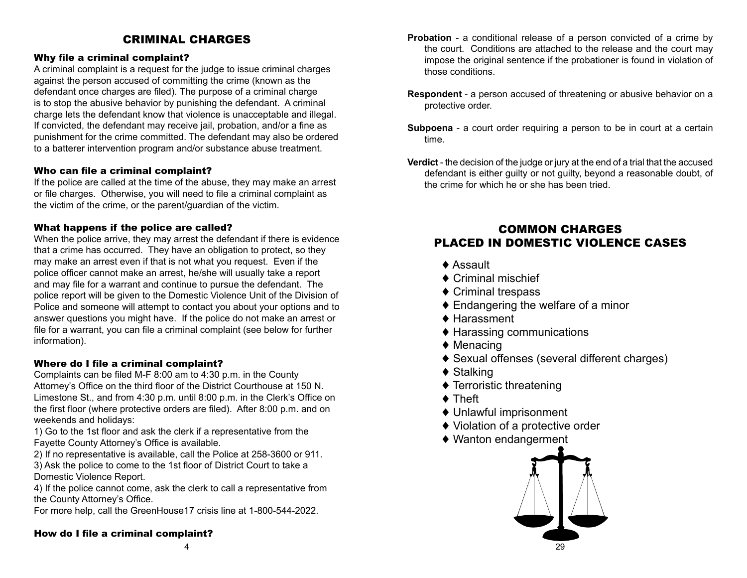# CRIMINAL CHARGES

# Why file a criminal complaint?

A criminal complaint is a request for the judge to issue criminal charges against the person accused of committing the crime (known as the defendant once charges are filed). The purpose of a criminal charge is to stop the abusive behavior by punishing the defendant. A criminal charge lets the defendant know that violence is unacceptable and illegal. If convicted, the defendant may receive jail, probation, and/or a fine as punishment for the crime committed. The defendant may also be ordered to a batterer intervention program and/or substance abuse treatment.

## Who can file a criminal complaint?

If the police are called at the time of the abuse, they may make an arrest or file charges. Otherwise, you will need to file a criminal complaint as the victim of the crime, or the parent/guardian of the victim.

## What happens if the police are called?

When the police arrive, they may arrest the defendant if there is evidence that a crime has occurred. They have an obligation to protect, so they may make an arrest even if that is not what you request. Even if the police officer cannot make an arrest, he/she will usually take a report and may file for a warrant and continue to pursue the defendant. The police report will be given to the Domestic Violence Unit of the Division of Police and someone will attempt to contact you about your options and to answer questions you might have. If the police do not make an arrest or file for a warrant, you can file a criminal complaint (see below for further information).

## Where do I file a criminal complaint?

Complaints can be filed M-F 8:00 am to 4:30 p.m. in the County Attorney's Office on the third floor of the District Courthouse at 150 N. Limestone St., and from 4:30 p.m. until 8:00 p.m. in the Clerk's Office on the first floor (where protective orders are filed). After 8:00 p.m. and on weekends and holidays:

1) Go to the 1st floor and ask the clerk if a representative from the Fayette County Attorney's Office is available.

2) If no representative is available, call the Police at 258-3600 or 911.

3) Ask the police to come to the 1st floor of District Court to take a Domestic Violence Report.

4) If the police cannot come, ask the clerk to call a representative from the County Attorney's Office.

For more help, call the GreenHouse17 crisis line at 1-800-544-2022.

## How do I file a criminal complaint?

- **Respondent** a person accused of threatening or abusive behavior on a protective order.
- **Subpoena** a court order requiring a person to be in court at a certain time.
- **Verdict** the decision of the judge or jury at the end of a trial that the accused defendant is either guilty or not guilty, beyond a reasonable doubt, of the crime for which he or she has been tried.

# Common Charges Placed in Domestic Violence Cases

- ♦ Assault
- ♦ Criminal mischief
- ♦ Criminal trespass
- ♦ Endangering the welfare of a minor
- ♦ Harassment
- ♦ Harassing communications
- ♦ Menacing
- ♦ Sexual offenses (several different charges)
- ◆ Stalking
- ♦ Terroristic threatening
- ♦ Theft
- ♦ Unlawful imprisonment
- ♦ Violation of a protective order
- ♦ Wanton endangerment

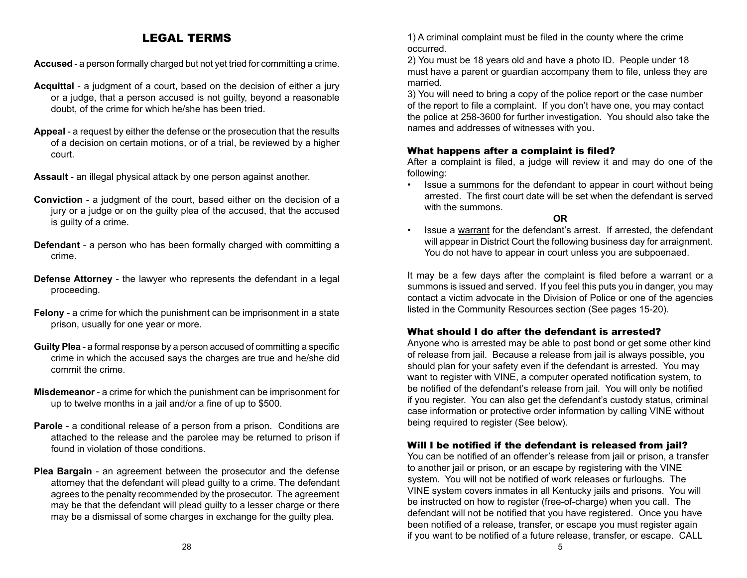# Legal Terms

**Accused** - a person formally charged but not yet tried for committing a crime.

- **Acquittal** a judgment of a court, based on the decision of either a jury or a judge, that a person accused is not guilty, beyond a reasonable doubt, of the crime for which he/she has been tried.
- **Appeal** a request by either the defense or the prosecution that the results of a decision on certain motions, or of a trial, be reviewed by a higher court.
- **Assault** an illegal physical attack by one person against another.
- **Conviction** a judgment of the court, based either on the decision of a jury or a judge or on the guilty plea of the accused, that the accused is guilty of a crime.
- **Defendant** a person who has been formally charged with committing a crime.
- **Defense Attorney** the lawyer who represents the defendant in a legal proceeding.
- **Felony** a crime for which the punishment can be imprisonment in a state prison, usually for one year or more.
- **Guilty Plea** a formal response by a person accused of committing a specific crime in which the accused says the charges are true and he/she did commit the crime.
- **Misdemeanor** a crime for which the punishment can be imprisonment for up to twelve months in a jail and/or a fine of up to \$500.
- **Parole** a conditional release of a person from a prison. Conditions are attached to the release and the parolee may be returned to prison if found in violation of those conditions.
- **Plea Bargain** an agreement between the prosecutor and the defense attorney that the defendant will plead guilty to a crime. The defendant agrees to the penalty recommended by the prosecutor. The agreement may be that the defendant will plead guilty to a lesser charge or there may be a dismissal of some charges in exchange for the guilty plea.

1) A criminal complaint must be filed in the county where the crime occurred.

2) You must be 18 years old and have a photo ID. People under 18 must have a parent or guardian accompany them to file, unless they are married.

3) You will need to bring a copy of the police report or the case number of the report to file a complaint. If you don't have one, you may contact the police at 258-3600 for further investigation. You should also take the names and addresses of witnesses with you.

## What happens after a complaint is filed?

After a complaint is filed, a judge will review it and may do one of the following:

Issue a summons for the defendant to appear in court without being arrested. The first court date will be set when the defendant is served with the summons.

**OR**

Issue a warrant for the defendant's arrest. If arrested, the defendant will appear in District Court the following business day for arraignment. You do not have to appear in court unless you are subpoenaed.

It may be a few days after the complaint is filed before a warrant or a summons is issued and served. If you feel this puts you in danger, you may contact a victim advocate in the Division of Police or one of the agencies listed in the Community Resources section (See pages 15-20).

## What should I do after the defendant is arrested?

Anyone who is arrested may be able to post bond or get some other kind of release from jail. Because a release from jail is always possible, you should plan for your safety even if the defendant is arrested. You may want to register with VINE, a computer operated notification system, to be notified of the defendant's release from jail. You will only be notified if you register. You can also get the defendant's custody status, criminal case information or protective order information by calling VINE without being required to register (See below).

#### Will I be notified if the defendant is released from jail?

You can be notified of an offender's release from jail or prison, a transfer to another jail or prison, or an escape by registering with the VINE system. You will not be notified of work releases or furloughs. The VINE system covers inmates in all Kentucky jails and prisons. You will be instructed on how to register (free-of-charge) when you call. The defendant will not be notified that you have registered. Once you have been notified of a release, transfer, or escape you must register again if you want to be notified of a future release, transfer, or escape. CALL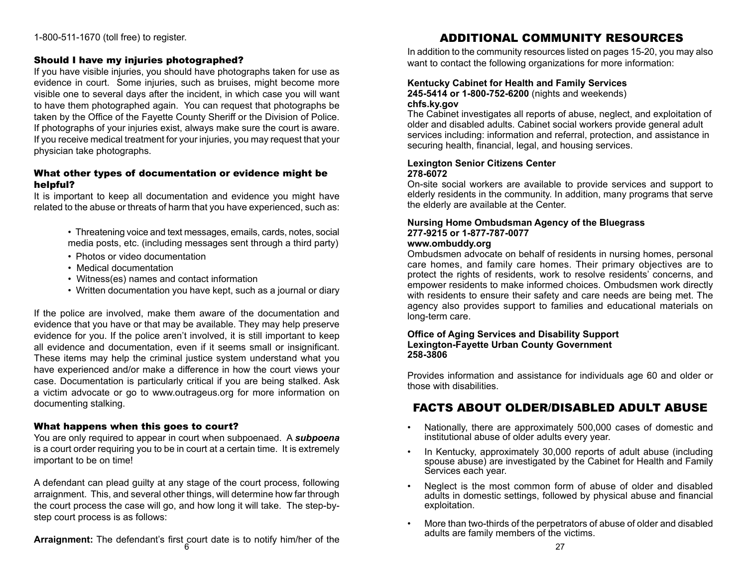1-800-511-1670 (toll free) to register.

## Should I have my injuries photographed?

If you have visible injuries, you should have photographs taken for use as evidence in court. Some injuries, such as bruises, might become more visible one to several days after the incident, in which case you will want to have them photographed again. You can request that photographs be taken by the Office of the Fayette County Sheriff or the Division of Police. If photographs of your injuries exist, always make sure the court is aware. If you receive medical treatment for your injuries, you may request that your physician take photographs.

## What other types of documentation or evidence might be helpful?

It is important to keep all documentation and evidence you might have related to the abuse or threats of harm that you have experienced, such as:

- Threatening voice and text messages, emails, cards, notes, social media posts, etc. (including messages sent through a third party)
- Photos or video documentation
- Medical documentation
- Witness(es) names and contact information
- Written documentation you have kept, such as a journal or diary

If the police are involved, make them aware of the documentation and evidence that you have or that may be available. They may help preserve evidence for you. If the police aren't involved, it is still important to keep all evidence and documentation, even if it seems small or insignificant. These items may help the criminal justice system understand what you have experienced and/or make a difference in how the court views your case. Documentation is particularly critical if you are being stalked. Ask a victim advocate or go to www.outrageus.org for more information on documenting stalking.

## What happens when this goes to court?

You are only required to appear in court when subpoenaed. A *subpoena* is a court order requiring you to be in court at a certain time. It is extremely important to be on time!

A defendant can plead guilty at any stage of the court process, following arraignment. This, and several other things, will determine how far through the court process the case will go, and how long it will take. The step-bystep court process is as follows:

**Arraignment:** The defendant's first court date is to notify him/her of the **6 27** 27

# Additional Community Resources

In addition to the community resources listed on pages 15-20, you may also want to contact the following organizations for more information:

#### **Kentucky Cabinet for Health and Family Services 245-5414 or 1-800-752-6200** (nights and weekends) **chfs.ky.gov**

The Cabinet investigates all reports of abuse, neglect, and exploitation of older and disabled adults. Cabinet social workers provide general adult services including: information and referral, protection, and assistance in securing health, financial, legal, and housing services.

#### **Lexington Senior Citizens Center 278-6072**

On-site social workers are available to provide services and support to elderly residents in the community. In addition, many programs that serve the elderly are available at the Center.

# **Nursing Home Ombudsman Agency of the Bluegrass 277-9215 or 1-877-787-0077**

#### **www.ombuddy.org**

Ombudsmen advocate on behalf of residents in nursing homes, personal care homes, and family care homes. Their primary objectives are to protect the rights of residents, work to resolve residents' concerns, and empower residents to make informed choices. Ombudsmen work directly with residents to ensure their safety and care needs are being met. The agency also provides support to families and educational materials on long-term care.

#### **Office of Aging Services and Disability Support Lexington-Fayette Urban County Government 258-3806**

Provides information and assistance for individuals age 60 and older or those with disabilities.

# Facts About Older/Disabled Adult Abuse

- Nationally, there are approximately 500,000 cases of domestic and institutional abuse of older adults every year.
- In Kentucky, approximately 30,000 reports of adult abuse (including spouse abuse) are investigated by the Cabinet for Health and Family Services each year.
- Neglect is the most common form of abuse of older and disabled adults in domestic settings, followed by physical abuse and financial exploitation.
- More than two-thirds of the perpetrators of abuse of older and disabled adults are family members of the victims.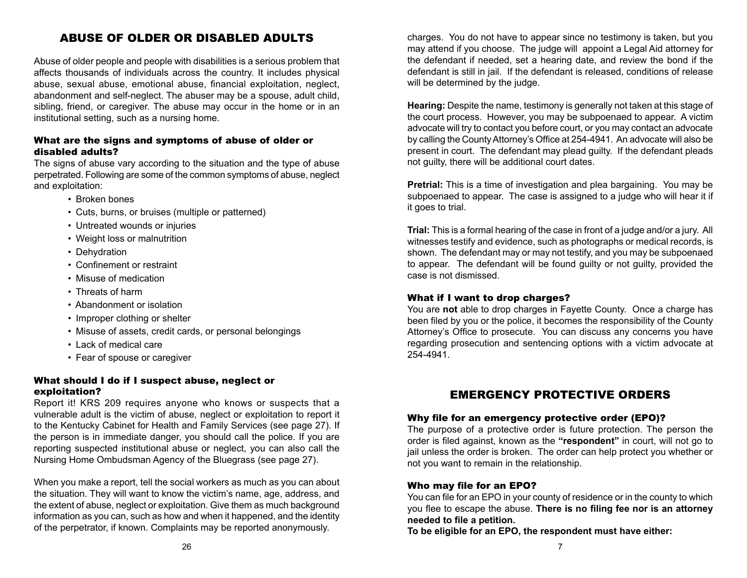# Abuse of Older or Disabled Adults

Abuse of older people and people with disabilities is a serious problem that affects thousands of individuals across the country. It includes physical abuse, sexual abuse, emotional abuse, financial exploitation, neglect, abandonment and self-neglect. The abuser may be a spouse, adult child, sibling, friend, or caregiver. The abuse may occur in the home or in an institutional setting, such as a nursing home.

## What are the signs and symptoms of abuse of older or disabled adults?

The signs of abuse vary according to the situation and the type of abuse perpetrated. Following are some of the common symptoms of abuse, neglect and exploitation:

- Broken bones
- Cuts, burns, or bruises (multiple or patterned)
- Untreated wounds or injuries
- Weight loss or malnutrition
- Dehydration
- Confinement or restraint
- Misuse of medication
- Threats of harm
- Abandonment or isolation
- Improper clothing or shelter
- Misuse of assets, credit cards, or personal belongings
- Lack of medical care
- Fear of spouse or caregiver

## What should I do if I suspect abuse, neglect or exploitation?

Report it! KRS 209 requires anyone who knows or suspects that a vulnerable adult is the victim of abuse, neglect or exploitation to report it to the Kentucky Cabinet for Health and Family Services (see page 27). If the person is in immediate danger, you should call the police. If you are reporting suspected institutional abuse or neglect, you can also call the Nursing Home Ombudsman Agency of the Bluegrass (see page 27).

When you make a report, tell the social workers as much as you can about the situation. They will want to know the victim's name, age, address, and the extent of abuse, neglect or exploitation. Give them as much background information as you can, such as how and when it happened, and the identity of the perpetrator, if known. Complaints may be reported anonymously.

charges. You do not have to appear since no testimony is taken, but you may attend if you choose. The judge will appoint a Legal Aid attorney for the defendant if needed, set a hearing date, and review the bond if the defendant is still in jail. If the defendant is released, conditions of release will be determined by the judge.

**Hearing:** Despite the name, testimony is generally not taken at this stage of the court process. However, you may be subpoenaed to appear. A victim advocate will try to contact you before court, or you may contact an advocate by calling the County Attorney's Office at 254-4941. An advocate will also be present in court. The defendant may plead guilty. If the defendant pleads not guilty, there will be additional court dates.

**Pretrial:** This is a time of investigation and plea bargaining. You may be subpoenaed to appear. The case is assigned to a judge who will hear it if it goes to trial.

**Trial:** This is a formal hearing of the case in front of a judge and/or a jury. All witnesses testify and evidence, such as photographs or medical records, is shown. The defendant may or may not testify, and you may be subpoenaed to appear. The defendant will be found guilty or not guilty, provided the case is not dismissed.

#### What if I want to drop charges?

You are **not** able to drop charges in Fayette County. Once a charge has been filed by you or the police, it becomes the responsibility of the County Attorney's Office to prosecute. You can discuss any concerns you have regarding prosecution and sentencing options with a victim advocate at 254-4941.

# EMERGENCY PROTECTIVE ORDERS

#### Why file for an emergency protective order (EPO)?

The purpose of a protective order is future protection. The person the order is filed against, known as the **"respondent"** in court, will not go to jail unless the order is broken. The order can help protect you whether or not you want to remain in the relationship.

#### Who may file for an EPO?

You can file for an EPO in your county of residence or in the county to which you flee to escape the abuse. **There is no filing fee nor is an attorney needed to file a petition.**

**To be eligible for an EPO, the respondent must have either:**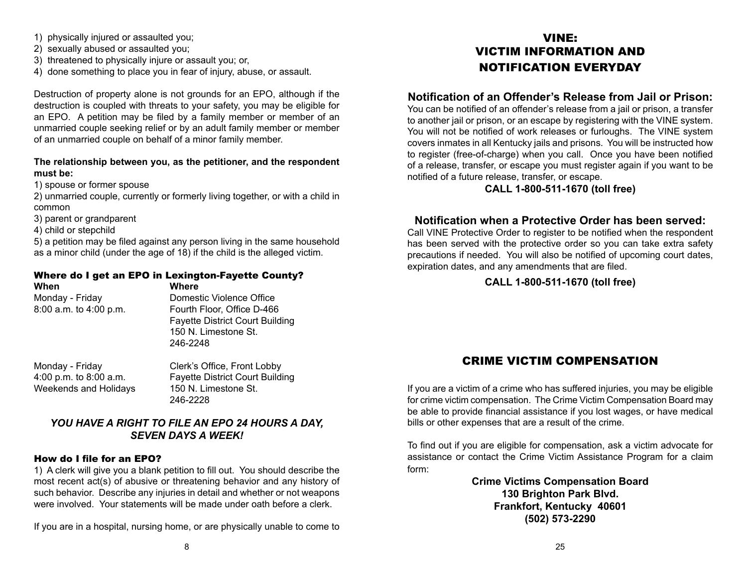- 1) physically injured or assaulted you;
- 2) sexually abused or assaulted you;
- 3) threatened to physically injure or assault you; or,
- 4) done something to place you in fear of injury, abuse, or assault.

Destruction of property alone is not grounds for an EPO, although if the destruction is coupled with threats to your safety, you may be eligible for an EPO. A petition may be filed by a family member or member of an unmarried couple seeking relief or by an adult family member or member of an unmarried couple on behalf of a minor family member.

## **The relationship between you, as the petitioner, and the respondent must be:**

1) spouse or former spouse

2) unmarried couple, currently or formerly living together, or with a child in common

3) parent or grandparent

4) child or stepchild

5) a petition may be filed against any person living in the same household as a minor child (under the age of 18) if the child is the alleged victim.

# Where do I get an EPO in Lexington-Fayette County?

**When Where**

Monday - Friday **Domestic Violence Office** 8:00 a.m. to 4:00 p.m. Fourth Floor, Office D-466 Fayette District Court Building 150 N. Limestone St. 246-2248

Weekends and Holidays 150 N. Limestone St.

Monday - Friday Clerk's Office, Front Lobby 4:00 p.m. to 8:00 a.m. Fayette District Court Building 246-2228

# *You have a right to file an EPO 24 hours a day, seven days a week!*

# How do I file for an EPO?

1) A clerk will give you a blank petition to fill out. You should describe the most recent act(s) of abusive or threatening behavior and any history of such behavior. Describe any injuries in detail and whether or not weapons were involved. Your statements will be made under oath before a clerk.

If you are in a hospital, nursing home, or are physically unable to come to

# VINE: Victim information and notification everyday

# **Notification of an Offender's Release from Jail or Prison:**

You can be notified of an offender's release from a jail or prison, a transfer to another jail or prison, or an escape by registering with the VINE system. You will not be notified of work releases or furloughs. The VINE system covers inmates in all Kentucky jails and prisons. You will be instructed how to register (free-of-charge) when you call. Once you have been notified of a release, transfer, or escape you must register again if you want to be notified of a future release, transfer, or escape.

# **CALL 1-800-511-1670 (toll free)**

# **Notification when a Protective Order has been served:**

Call VINE Protective Order to register to be notified when the respondent has been served with the protective order so you can take extra safety precautions if needed. You will also be notified of upcoming court dates, expiration dates, and any amendments that are filed.

# **CALL 1-800-511-1670 (toll free)**

# Crime Victim Compensation

If you are a victim of a crime who has suffered injuries, you may be eligible for crime victim compensation. The Crime Victim Compensation Board may be able to provide financial assistance if you lost wages, or have medical bills or other expenses that are a result of the crime.

To find out if you are eligible for compensation, ask a victim advocate for assistance or contact the Crime Victim Assistance Program for a claim form:

> **Crime Victims Compensation Board 130 Brighton Park Blvd. Frankfort, Kentucky 40601 (502) 573-2290**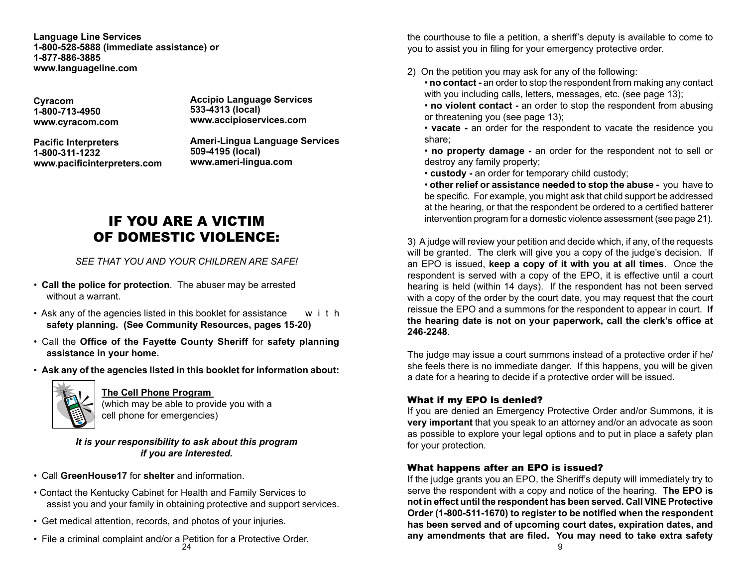**Language Line Services 1-800-528-5888 (immediate assistance) or 1-877-886-3885 www.languageline.com**

**Cyracom 1-800-713-4950 www.cyracom.com**  **Accipio Language Services 533-4313 (local) www.accipioservices.com**

**Pacific Interpreters 1-800-311-1232 www.pacificinterpreters.com** **Ameri-Lingua Language Services 509-4195 (local) www.ameri-lingua.com**

# IF YOU ARE A VICTIM OF DOMESTIC VIOLENCE:

# *See that you and your children are safe!*

- **Call the police for protection**. The abuser may be arrested without a warrant.
- Ask any of the agencies listed in this booklet for assistance  $w_i$  i the **safety planning. (See Community Resources, pages 15-20)**
- Call the **Office of the Fayette County Sheriff** for **safety planning assistance in your home.**
- **Ask any of the agencies listed in this booklet for information about:**



## **The Cell Phone Program**

(which may be able to provide you with a cell phone for emergencies)

*It is your responsibility to ask about this program if you are interested.* 

- Call **GreenHouse17** for **shelter** and information.
- Contact the Kentucky Cabinet for Health and Family Services to assist you and your family in obtaining protective and support services.
- Get medical attention, records, and photos of your injuries.
- $24$ • File a criminal complaint and/or a Petition for a Protective Order.

the courthouse to file a petition, a sheriff's deputy is available to come to you to assist you in filing for your emergency protective order.

2) On the petition you may ask for any of the following:

• **no contact -** an order to stop the respondent from making any contact with you including calls, letters, messages, etc. (see page 13);

• **no violent contact -** an order to stop the respondent from abusing or threatening you (see page 13);

• **vacate -** an order for the respondent to vacate the residence you share;

• **no property damage -** an order for the respondent not to sell or destroy any family property;

• **custody -** an order for temporary child custody;

• **other relief or assistance needed to stop the abuse -** you have to be specific. For example, you might ask that child support be addressed at the hearing, or that the respondent be ordered to a certified batterer intervention program for a domestic violence assessment (see page 21).

3) A judge will review your petition and decide which, if any, of the requests will be granted. The clerk will give you a copy of the judge's decision. If an EPO is issued, **keep a copy of it with you at all times**. Once the respondent is served with a copy of the EPO, it is effective until a court hearing is held (within 14 days). If the respondent has not been served with a copy of the order by the court date, you may request that the court reissue the EPO and a summons for the respondent to appear in court. **If the hearing date is not on your paperwork, call the clerk's office at 246-2248**.

The judge may issue a court summons instead of a protective order if he/ she feels there is no immediate danger. If this happens, you will be given a date for a hearing to decide if a protective order will be issued.

## What if my EPO is denied?

If you are denied an Emergency Protective Order and/or Summons, it is **very important** that you speak to an attorney and/or an advocate as soon as possible to explore your legal options and to put in place a safety plan for your protection.

## What happens after an EPO is issued?

If the judge grants you an EPO, the Sheriff's deputy will immediately try to serve the respondent with a copy and notice of the hearing. **The EPO is not in effect until the respondent has been served. Call VINE Protective Order (1-800-511-1670) to register to be notified when the respondent has been served and of upcoming court dates, expiration dates, and any amendments that are filed. You may need to take extra safety**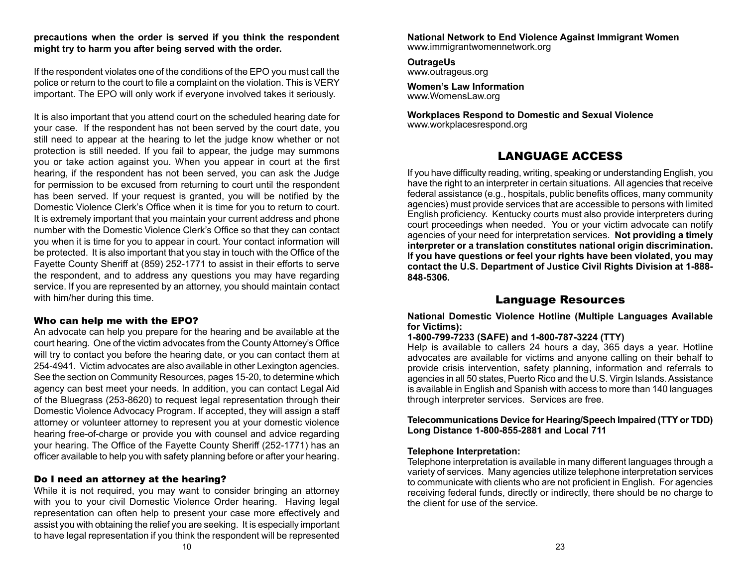#### **precautions when the order is served if you think the respondent might try to harm you after being served with the order.**

If the respondent violates one of the conditions of the EPO you must call the police or return to the court to file a complaint on the violation. This is VERY important. The EPO will only work if everyone involved takes it seriously.

It is also important that you attend court on the scheduled hearing date for your case. If the respondent has not been served by the court date, you still need to appear at the hearing to let the judge know whether or not protection is still needed. If you fail to appear, the judge may summons you or take action against you. When you appear in court at the first hearing, if the respondent has not been served, you can ask the Judge for permission to be excused from returning to court until the respondent has been served. If your request is granted, you will be notified by the Domestic Violence Clerk's Office when it is time for you to return to court. It is extremely important that you maintain your current address and phone number with the Domestic Violence Clerk's Office so that they can contact you when it is time for you to appear in court. Your contact information will be protected. It is also important that you stay in touch with the Office of the Fayette County Sheriff at (859) 252-1771 to assist in their efforts to serve the respondent, and to address any questions you may have regarding service. If you are represented by an attorney, you should maintain contact with him/her during this time.

## Who can help me with the EPO?

An advocate can help you prepare for the hearing and be available at the court hearing. One of the victim advocates from the County Attorney's Office will try to contact you before the hearing date, or you can contact them at 254-4941. Victim advocates are also available in other Lexington agencies. See the section on Community Resources, pages 15-20, to determine which agency can best meet your needs. In addition, you can contact Legal Aid of the Bluegrass (253-8620) to request legal representation through their Domestic Violence Advocacy Program. If accepted, they will assign a staff attorney or volunteer attorney to represent you at your domestic violence hearing free-of-charge or provide you with counsel and advice regarding your hearing. The Office of the Fayette County Sheriff (252-1771) has an officer available to help you with safety planning before or after your hearing.

## Do I need an attorney at the hearing?

While it is not required, you may want to consider bringing an attorney with you to your civil Domestic Violence Order hearing. Having legal representation can often help to present your case more effectively and assist you with obtaining the relief you are seeking. It is especially important to have legal representation if you think the respondent will be represented

**National Network to End Violence Against Immigrant Women** www.immigrantwomennetwork.org

**OutrageUs** www.outrageus.org

**Women's Law Information** www.WomensLaw.org

**Workplaces Respond to Domestic and Sexual Violence** www.workplacesrespond.org

# Language Access

If you have difficulty reading, writing, speaking or understanding English, you have the right to an interpreter in certain situations. All agencies that receive federal assistance (e.g., hospitals, public benefits offices, many community agencies) must provide services that are accessible to persons with limited English proficiency. Kentucky courts must also provide interpreters during court proceedings when needed. You or your victim advocate can notify agencies of your need for interpretation services. **Not providing a timely interpreter or a translation constitutes national origin discrimination. If you have questions or feel your rights have been violated, you may contact the U.S. Department of Justice Civil Rights Division at 1-888- 848-5306.**

# Language Resources

**National Domestic Violence Hotline (Multiple Languages Available for Victims):**

#### **1-800-799-7233 (SAFE) and 1-800-787-3224 (TTY)**

Help is available to callers 24 hours a day, 365 days a year. Hotline advocates are available for victims and anyone calling on their behalf to provide crisis intervention, safety planning, information and referrals to agencies in all 50 states, Puerto Rico and the U.S. Virgin Islands. Assistance is available in English and Spanish with access to more than 140 languages through interpreter services. Services are free.

**Telecommunications Device for Hearing/Speech Impaired (TTY or TDD) Long Distance 1-800-855-2881 and Local 711**

## **Telephone Interpretation:**

Telephone interpretation is available in many different languages through a variety of services. Many agencies utilize telephone interpretation services to communicate with clients who are not proficient in English. For agencies receiving federal funds, directly or indirectly, there should be no charge to the client for use of the service.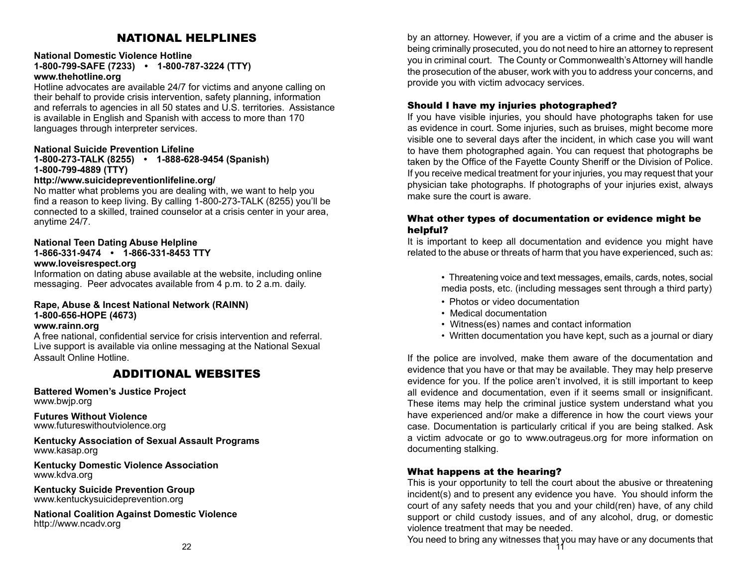# National Helplines

#### **National Domestic Violence Hotline**

**1-800-799-SAFE (7233) • 1-800-787-3224 (TTY) www.thehotline.org**

Hotline advocates are available 24/7 for victims and anyone calling on their behalf to provide crisis intervention, safety planning, information and referrals to agencies in all 50 states and U.S. territories. Assistance is available in English and Spanish with access to more than 170 languages through interpreter services.

#### **National Suicide Prevention Lifeline**

## **1-800-273-TALK (8255) • 1-888-628-9454 (Spanish) 1-800-799-4889 (TTY)**

#### **http://www.suicidepreventionlifeline.org/**

No matter what problems you are dealing with, we want to help you find a reason to keep living. By calling 1-800-273-TALK (8255) you'll be connected to a skilled, trained counselor at a crisis center in your area, anytime 24/7.

#### **National Teen Dating Abuse Helpline 1-866-331-9474 • 1-866-331-8453 TTY**

#### **www.loveisrespect.org**

Information on dating abuse available at the website, including online messaging. Peer advocates available from 4 p.m. to 2 a.m. daily.

#### **Rape, Abuse & Incest National Network (RAINN) 1-800-656-HOPE (4673)**

#### **www.rainn.org**

A free national, confidential service for crisis intervention and referral. Live support is available via online messaging at the National Sexual Assault Online Hotline.

# Additional Websites

**Battered Women's Justice Project** www.bwjp.org

**Futures Without Violence** www.futureswithoutviolence.org

**Kentucky Association of Sexual Assault Programs** www.kasap.org

**Kentucky Domestic Violence Association** www.kdva.org

**Kentucky Suicide Prevention Group** www.kentuckysuicideprevention.org

**National Coalition Against Domestic Violence** http://www.ncadv.org

by an attorney. However, if you are a victim of a crime and the abuser is being criminally prosecuted, you do not need to hire an attorney to represent you in criminal court. The County or Commonwealth's Attorney will handle the prosecution of the abuser, work with you to address your concerns, and provide you with victim advocacy services.

#### Should I have my injuries photographed?

If you have visible injuries, you should have photographs taken for use as evidence in court. Some injuries, such as bruises, might become more visible one to several days after the incident, in which case you will want to have them photographed again. You can request that photographs be taken by the Office of the Fayette County Sheriff or the Division of Police. If you receive medical treatment for your injuries, you may request that your physician take photographs. If photographs of your injuries exist, always make sure the court is aware.

#### What other types of documentation or evidence might be helpful?

It is important to keep all documentation and evidence you might have related to the abuse or threats of harm that you have experienced, such as:

> • Threatening voice and text messages, emails, cards, notes, social media posts, etc. (including messages sent through a third party)

- Photos or video documentation
- Medical documentation
- Witness(es) names and contact information
- Written documentation you have kept, such as a journal or diary

If the police are involved, make them aware of the documentation and evidence that you have or that may be available. They may help preserve evidence for you. If the police aren't involved, it is still important to keep all evidence and documentation, even if it seems small or insignificant. These items may help the criminal justice system understand what you have experienced and/or make a difference in how the court views your case. Documentation is particularly critical if you are being stalked. Ask a victim advocate or go to www.outrageus.org for more information on documenting stalking.

#### What happens at the hearing?

This is your opportunity to tell the court about the abusive or threatening incident(s) and to present any evidence you have. You should inform the court of any safety needs that you and your child(ren) have, of any child support or child custody issues, and of any alcohol, drug, or domestic violence treatment that may be needed.

11 You need to bring any witnesses that you may have or any documents that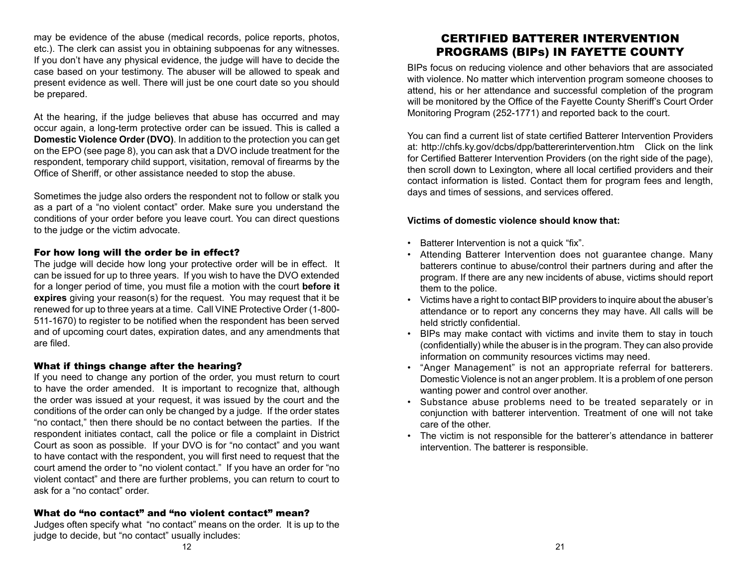may be evidence of the abuse (medical records, police reports, photos, etc.). The clerk can assist you in obtaining subpoenas for any witnesses. If you don't have any physical evidence, the judge will have to decide the case based on your testimony. The abuser will be allowed to speak and present evidence as well. There will just be one court date so you should be prepared.

At the hearing, if the judge believes that abuse has occurred and may occur again, a long-term protective order can be issued. This is called a **Domestic Violence Order (DVO)**. In addition to the protection you can get on the EPO (see page 8), you can ask that a DVO include treatment for the respondent, temporary child support, visitation, removal of firearms by the Office of Sheriff, or other assistance needed to stop the abuse.

Sometimes the judge also orders the respondent not to follow or stalk you as a part of a "no violent contact" order. Make sure you understand the conditions of your order before you leave court. You can direct questions to the judge or the victim advocate.

#### For how long will the order be in effect?

The judge will decide how long your protective order will be in effect. It can be issued for up to three years. If you wish to have the DVO extended for a longer period of time, you must file a motion with the court **before it expires** giving your reason(s) for the request. You may request that it be renewed for up to three years at a time. Call VINE Protective Order (1-800- 511-1670) to register to be notified when the respondent has been served and of upcoming court dates, expiration dates, and any amendments that are filed.

#### What if things change after the hearing?

If you need to change any portion of the order, you must return to court to have the order amended. It is important to recognize that, although the order was issued at your request, it was issued by the court and the conditions of the order can only be changed by a judge. If the order states "no contact," then there should be no contact between the parties. If the respondent initiates contact, call the police or file a complaint in District Court as soon as possible. If your DVO is for "no contact" and you want to have contact with the respondent, you will first need to request that the court amend the order to "no violent contact." If you have an order for "no violent contact" and there are further problems, you can return to court to ask for a "no contact" order.

## What do "no contact" and "no violent contact" mean?

Judges often specify what "no contact" means on the order. It is up to the judge to decide, but "no contact" usually includes:

# Certified BATTERER INTERVENTION PROGRAMS (BIPs) in Fayette County

BIPs focus on reducing violence and other behaviors that are associated with violence. No matter which intervention program someone chooses to attend, his or her attendance and successful completion of the program will be monitored by the Office of the Fayette County Sheriff's Court Order Monitoring Program (252-1771) and reported back to the court.

You can find a current list of state certified Batterer Intervention Providers at: http://chfs.ky.gov/dcbs/dpp/battererintervention.htm Click on the link for Certified Batterer Intervention Providers (on the right side of the page), then scroll down to Lexington, where all local certified providers and their contact information is listed. Contact them for program fees and length, days and times of sessions, and services offered.

## **Victims of domestic violence should know that:**

- Batterer Intervention is not a quick "fix".
- Attending Batterer Intervention does not guarantee change. Many batterers continue to abuse/control their partners during and after the program. If there are any new incidents of abuse, victims should report them to the police.
- Victims have a right to contact BIP providers to inquire about the abuser's attendance or to report any concerns they may have. All calls will be held strictly confidential.
- BIPs may make contact with victims and invite them to stay in touch (confidentially) while the abuser is in the program. They can also provide information on community resources victims may need.
- "Anger Management" is not an appropriate referral for batterers. Domestic Violence is not an anger problem. It is a problem of one person wanting power and control over another.
- Substance abuse problems need to be treated separately or in conjunction with batterer intervention. Treatment of one will not take care of the other.
- The victim is not responsible for the batterer's attendance in batterer intervention. The batterer is responsible.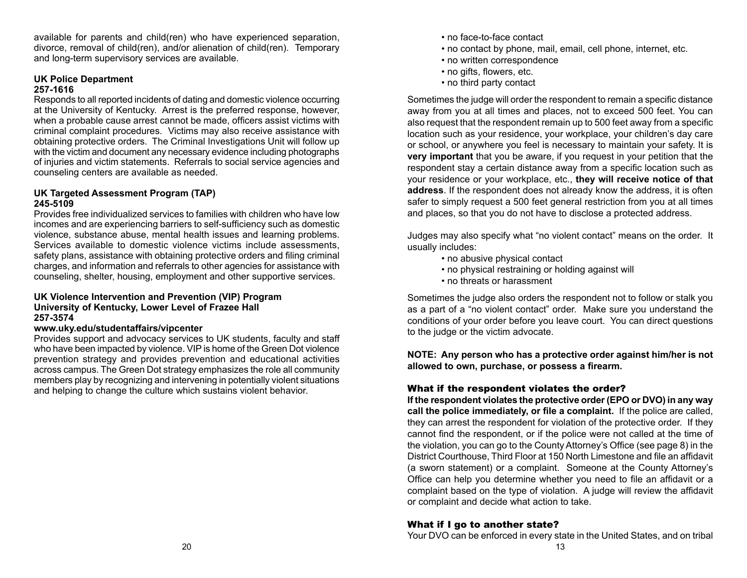available for parents and child(ren) who have experienced separation, divorce, removal of child(ren), and/or alienation of child(ren). Temporary and long-term supervisory services are available.

#### **UK Police Department 257-1616**

Responds to all reported incidents of dating and domestic violence occurring at the University of Kentucky. Arrest is the preferred response, however, when a probable cause arrest cannot be made, officers assist victims with criminal complaint procedures. Victims may also receive assistance with obtaining protective orders. The Criminal Investigations Unit will follow up with the victim and document any necessary evidence including photographs of injuries and victim statements. Referrals to social service agencies and counseling centers are available as needed.

#### **UK Targeted Assessment Program (TAP) 245-5109**

Provides free individualized services to families with children who have low incomes and are experiencing barriers to self-sufficiency such as domestic violence, substance abuse, mental health issues and learning problems. Services available to domestic violence victims include assessments, safety plans, assistance with obtaining protective orders and filing criminal charges, and information and referrals to other agencies for assistance with counseling, shelter, housing, employment and other supportive services.

#### **UK Violence Intervention and Prevention (VIP) Program University of Kentucky, Lower Level of Frazee Hall 257-3574**

## **www.uky.edu/studentaffairs/vipcenter**

Provides support and advocacy services to UK students, faculty and staff who have been impacted by violence. VIP is home of the Green Dot violence prevention strategy and provides prevention and educational activities across campus. The Green Dot strategy emphasizes the role all community members play by recognizing and intervening in potentially violent situations and helping to change the culture which sustains violent behavior.

- no face-to-face contact
- no contact by phone, mail, email, cell phone, internet, etc.
- no written correspondence
- no gifts, flowers, etc.
- no third party contact

Sometimes the judge will order the respondent to remain a specific distance away from you at all times and places, not to exceed 500 feet. You can also request that the respondent remain up to 500 feet away from a specific location such as your residence, your workplace, your children's day care or school, or anywhere you feel is necessary to maintain your safety. It is **very important** that you be aware, if you request in your petition that the respondent stay a certain distance away from a specific location such as your residence or your workplace, etc., **they will receive notice of that address**. If the respondent does not already know the address, it is often safer to simply request a 500 feet general restriction from you at all times and places, so that you do not have to disclose a protected address.

Judges may also specify what "no violent contact" means on the order. It usually includes:

- no abusive physical contact
- no physical restraining or holding against will
- no threats or harassment

Sometimes the judge also orders the respondent not to follow or stalk you as a part of a "no violent contact" order. Make sure you understand the conditions of your order before you leave court. You can direct questions to the judge or the victim advocate.

**NOTE: Any person who has a protective order against him/her is not allowed to own, purchase, or possess a firearm.**

## What if the respondent violates the order?

**If the respondent violates the protective order (EPO or DVO) in any way call the police immediately, or file a complaint.** If the police are called, they can arrest the respondent for violation of the protective order. If they cannot find the respondent, or if the police were not called at the time of the violation, you can go to the County Attorney's Office (see page 8) in the District Courthouse, Third Floor at 150 North Limestone and file an affidavit (a sworn statement) or a complaint. Someone at the County Attorney's Office can help you determine whether you need to file an affidavit or a complaint based on the type of violation. A judge will review the affidavit or complaint and decide what action to take.

## What if I go to another state?

Your DVO can be enforced in every state in the United States, and on tribal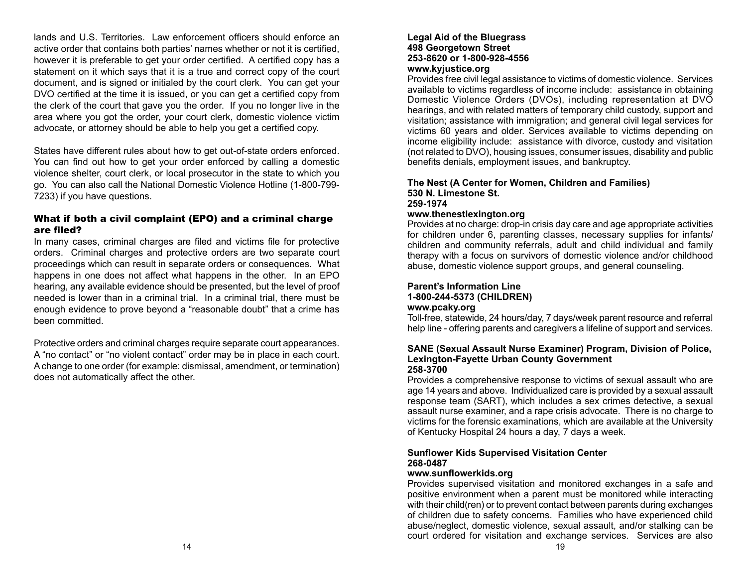lands and U.S. Territories. Law enforcement officers should enforce an active order that contains both parties' names whether or not it is certified, however it is preferable to get your order certified. A certified copy has a statement on it which says that it is a true and correct copy of the court document, and is signed or initialed by the court clerk. You can get your DVO certified at the time it is issued, or you can get a certified copy from the clerk of the court that gave you the order. If you no longer live in the area where you got the order, your court clerk, domestic violence victim advocate, or attorney should be able to help you get a certified copy.

States have different rules about how to get out-of-state orders enforced. You can find out how to get your order enforced by calling a domestic violence shelter, court clerk, or local prosecutor in the state to which you go. You can also call the National Domestic Violence Hotline (1-800-799- 7233) if you have questions.

#### What if both a civil complaint (EPO) and a criminal charge are filed?

In many cases, criminal charges are filed and victims file for protective orders. Criminal charges and protective orders are two separate court proceedings which can result in separate orders or consequences. What happens in one does not affect what happens in the other. In an EPO hearing, any available evidence should be presented, but the level of proof needed is lower than in a criminal trial. In a criminal trial, there must be enough evidence to prove beyond a "reasonable doubt" that a crime has been committed.

Protective orders and criminal charges require separate court appearances. A "no contact" or "no violent contact" order may be in place in each court. A change to one order (for example: dismissal, amendment, or termination) does not automatically affect the other.

#### **Legal Aid of the Bluegrass 498 Georgetown Street 253-8620 or 1-800-928-4556 www.kyjustice.org**

Provides free civil legal assistance to victims of domestic violence. Services available to victims regardless of income include: assistance in obtaining Domestic Violence Orders (DVOs), including representation at DVO hearings, and with related matters of temporary child custody, support and visitation; assistance with immigration; and general civil legal services for victims 60 years and older. Services available to victims depending on income eligibility include: assistance with divorce, custody and visitation (not related to DVO), housing issues, consumer issues, disability and public benefits denials, employment issues, and bankruptcy.

#### **The Nest (A Center for Women, Children and Families) 530 N. Limestone St. 259-1974**

## **www.thenestlexington.org**

Provides at no charge: drop-in crisis day care and age appropriate activities for children under 6, parenting classes, necessary supplies for infants/ children and community referrals, adult and child individual and family therapy with a focus on survivors of domestic violence and/or childhood abuse, domestic violence support groups, and general counseling.

#### **Parent's Information Line 1-800-244-5373 (CHILDREN)**

## **www.pcaky.org**

Toll-free, statewide, 24 hours/day, 7 days/week parent resource and referral help line - offering parents and caregivers a lifeline of support and services.

#### **SANE (Sexual Assault Nurse Examiner) Program, Division of Police, Lexington-Fayette Urban County Government 258-3700**

Provides a comprehensive response to victims of sexual assault who are age 14 years and above. Individualized care is provided by a sexual assault response team (SART), which includes a sex crimes detective, a sexual assault nurse examiner, and a rape crisis advocate. There is no charge to victims for the forensic examinations, which are available at the University of Kentucky Hospital 24 hours a day, 7 days a week.

## **Sunflower Kids Supervised Visitation Center 268-0487**

## **www.sunflowerkids.org**

Provides supervised visitation and monitored exchanges in a safe and positive environment when a parent must be monitored while interacting with their child(ren) or to prevent contact between parents during exchanges of children due to safety concerns. Families who have experienced child abuse/neglect, domestic violence, sexual assault, and/or stalking can be court ordered for visitation and exchange services. Services are also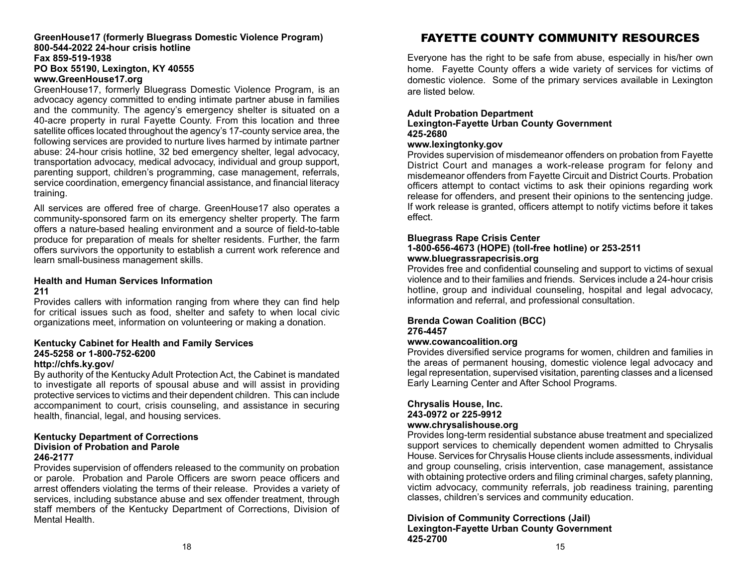#### **GreenHouse17 (formerly Bluegrass Domestic Violence Program) 800-544-2022 24-hour crisis hotline Fax 859-519-1938 PO Box 55190, Lexington, KY 40555 www.GreenHouse17.org**

GreenHouse17, formerly Bluegrass Domestic Violence Program, is an advocacy agency committed to ending intimate partner abuse in families and the community. The agency's emergency shelter is situated on a 40-acre property in rural Fayette County. From this location and three satellite offices located throughout the agency's 17-county service area, the following services are provided to nurture lives harmed by intimate partner abuse: 24-hour crisis hotline, 32 bed emergency shelter, legal advocacy, transportation advocacy, medical advocacy, individual and group support, parenting support, children's programming, case management, referrals, service coordination, emergency financial assistance, and financial literacy training.

All services are offered free of charge. GreenHouse17 also operates a community-sponsored farm on its emergency shelter property. The farm offers a nature-based healing environment and a source of field-to-table produce for preparation of meals for shelter residents. Further, the farm offers survivors the opportunity to establish a current work reference and learn small-business management skills.

#### **Health and Human Services Information 211**

Provides callers with information ranging from where they can find help for critical issues such as food, shelter and safety to when local civic organizations meet, information on volunteering or making a donation.

# **Kentucky Cabinet for Health and Family Services 245-5258 or 1-800-752-6200**

## **http://chfs.ky.gov/**

By authority of the Kentucky Adult Protection Act, the Cabinet is mandated to investigate all reports of spousal abuse and will assist in providing protective services to victims and their dependent children. This can include accompaniment to court, crisis counseling, and assistance in securing health, financial, legal, and housing services.

#### **Kentucky Department of Corrections Division of Probation and Parole 246-2177**

Provides supervision of offenders released to the community on probation or parole. Probation and Parole Officers are sworn peace officers and arrest offenders violating the terms of their release. Provides a variety of services, including substance abuse and sex offender treatment, through staff members of the Kentucky Department of Corrections, Division of Mental Health.

# FAYETTE COUNTY COMMUNITY RESOURCES

Everyone has the right to be safe from abuse, especially in his/her own home. Fayette County offers a wide variety of services for victims of domestic violence. Some of the primary services available in Lexington are listed below.

## **Adult Probation Department Lexington-Fayette Urban County Government 425-2680**

#### **www.lexingtonky.gov**

Provides supervision of misdemeanor offenders on probation from Fayette District Court and manages a work-release program for felony and misdemeanor offenders from Fayette Circuit and District Courts. Probation officers attempt to contact victims to ask their opinions regarding work release for offenders, and present their opinions to the sentencing judge. If work release is granted, officers attempt to notify victims before it takes effect.

## **Bluegrass Rape Crisis Center**

#### **1-800-656-4673 (HOPE) (toll-free hotline) or 253-2511 www.bluegrassrapecrisis.org**

Provides free and confidential counseling and support to victims of sexual violence and to their families and friends. Services include a 24-hour crisis hotline, group and individual counseling, hospital and legal advocacy, information and referral, and professional consultation.

## **Brenda Cowan Coalition (BCC) 276-4457**

## **www.cowancoalition.org**

Provides diversified service programs for women, children and families in the areas of permanent housing, domestic violence legal advocacy and legal representation, supervised visitation, parenting classes and a licensed Early Learning Center and After School Programs.

#### **Chrysalis House, Inc. 243-0972 or 225-9912 www.chrysalishouse.org**

Provides long-term residential substance abuse treatment and specialized support services to chemically dependent women admitted to Chrysalis House. Services for Chrysalis House clients include assessments, individual and group counseling, crisis intervention, case management, assistance with obtaining protective orders and filing criminal charges, safety planning, victim advocacy, community referrals, job readiness training, parenting classes, children's services and community education.

**Division of Community Corrections (Jail) Lexington-Fayette Urban County Government 425-2700**